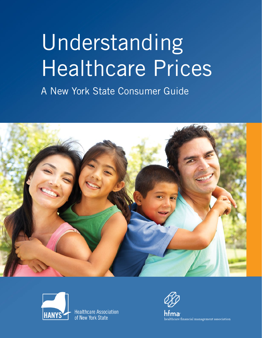# Understanding Healthcare Prices

A New York State Consumer Guide





**Healthcare Association** of New York State

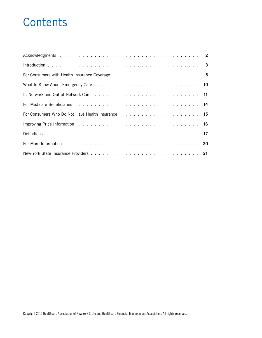# **Contents**

| In-Network and Out-of-Network Care (e.g. and example 2010) in the case of the case of the case of the contract of the Network Care (e.g. and the contract of the Network of the Network of the Network of the Network of the N |  |
|--------------------------------------------------------------------------------------------------------------------------------------------------------------------------------------------------------------------------------|--|
|                                                                                                                                                                                                                                |  |
| For Consumers Who Do Not Have Health Insurance International Algebra 2014 15                                                                                                                                                   |  |
|                                                                                                                                                                                                                                |  |
|                                                                                                                                                                                                                                |  |
|                                                                                                                                                                                                                                |  |
|                                                                                                                                                                                                                                |  |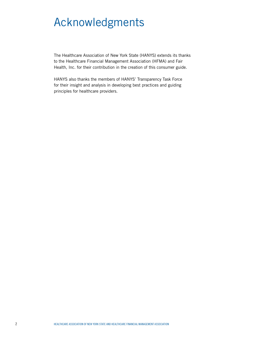# Acknowledgments

The Healthcare Association of New York State (HANYS) extends its thanks to the Healthcare Financial Management Association (HFMA) and Fair Health, Inc. for their contribution in the creation of this consumer guide.

HANYS also thanks the members of HANYS' Transparency Task Force for their insight and analysis in developing best practices and guiding principles for healthcare providers.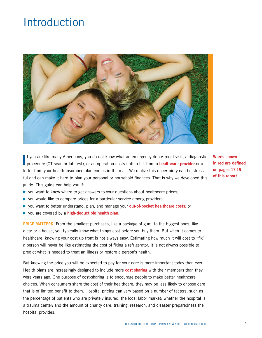# Introduction



**I** f you are like many Americans, you do not know what an emergency department visit, a diagnost procedure (CT scan or lab test), or an operation costs until a bill from a **healthcare provider** or a f you are like many Americans, you do not know what an emergency department visit, a diagnostic letter from your health insurance plan comes in the mail. We realize this uncertainty can be stressful and can make it hard to plan your personal or household finances. That is why we developed this guide. This guide can help you if:

**Words shown in red are defined on pages 17-19 of this report.**

- ▶ you want to know where to get answers to your questions about healthcare prices;
- ▶ you would like to compare prices for a particular service among providers;
- ▶ you want to better understand, plan, and manage your **out-of-pocket healthcare costs;** or
- ▶ you are covered by a **high-deductible health plan.**

**PRICE MATTERS.** From the smallest purchases, like a package of gum, to the biggest ones, like a car or a house, you typically know what things cost before you buy them. But when it comes to healthcare, knowing your cost up front is not always easy. Estimating how much it will cost to "fix" a person will never be like estimating the cost of fixing a refrigerator. It is not always possible to predict what is needed to treat an illness or restore a person's health.

But knowing the price you will be expected to pay for your care is more important today than ever. Health plans are increasingly designed to include more **cost sharing** with their members than they were years ago. One purpose of cost-sharing is to encourage people to make better healthcare choices. When consumers share the cost of their healthcare, they may be less likely to choose care that is of limited benefit to them. Hospital pricing can vary based on a number of factors, such as the percentage of patients who are privately insured; the local labor market; whether the hospital is a trauma center; and the amount of charity care, training, research, and disaster preparedness the hospital provides.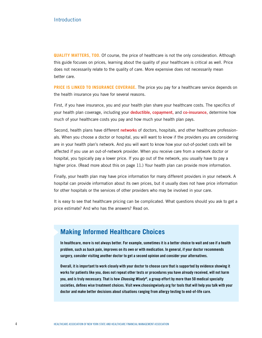**QUALITY MATTERS, TOO.** Of course, the price of healthcare is not the only consideration. Although this guide focuses on prices, learning about the quality of your healthcare is critical as well. Price does not necessarily relate to the quality of care. More expensive does not necessarily mean better care.

**PRICE IS LINKED TO INSURANCE COVERAGE.** The price you pay for a healthcare service depends on the health insurance you have for several reasons.

First, if you have insurance, you and your health plan share your healthcare costs. The specifics of your health plan coverage, including your **deductible, copayment,** and **co-insurance,** determine how much of your healthcare costs you pay and how much your health plan pays.

Second, health plans have different **networks** of doctors, hospitals, and other healthcare professionals. When you choose a doctor or hospital, you will want to know if the providers you are considering are in your health plan's network. And you will want to know how your out-of-pocket costs will be affected if you use an out-of-network provider. When you receive care from a network doctor or hospital, you typically pay a lower price. If you go out of the network, you usually have to pay a higher price. (Read more about this on page 11.) Your health plan can provide more information.

Finally, your health plan may have price information for many different providers in your network. A hospital can provide information about its own prices, but it usually does not have price information for other hospitals or the services of other providers who may be involved in your care.

It is easy to see that healthcare pricing can be complicated. What questions should you ask to get a price estimate? And who has the answers? Read on.

### **Making Informed Healthcare Choices**

**In healthcare, more is not always better. For example, sometimes it is a better choice to wait and see if a health problem, such as back pain, improves on its own or with medication. In general, if your doctor recommends surgery, consider visiting another doctor to get a second opinion and consider your alternatives.**

**Overall, it is important to work closely with your doctor to choose care that is supported by evidence showing it works for patients like you, does not repeat other tests or procedures you have already received, will not harm you, and is truly necessary. That is how** *Choosing Wisely®***, a group effort by more than 50 medical specialty societies, defines wise treatment choices. Visit www.choosingwisely.org for tools that will help you talk with your doctor and make better decisions about situations ranging from allergy testing to end-of-life care.**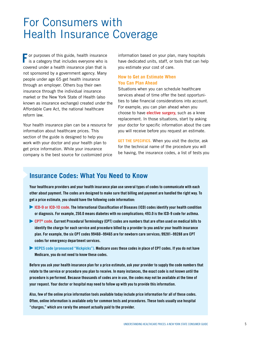## For Consumers with Health Insurance Coverage

**F** or purposes of this guide, health insurance is a category that includes everyone who is covered under a health insurance plan that is not sponsored by a government agency. Many people under age 65 get health insurance through an employer. Others buy their own insurance through the individual insurance market or the New York State of Health (also known as insurance exchange) created under the Affordable Care Act, the national healthcare reform law.

Your health insurance plan can be a resource for information about healthcare prices. This section of the guide is designed to help you work with your doctor and your health plan to get price information. While your insurance company is the best source for customized price

information based on your plan, many hospitals have dedicated units, staff, or tools that can help you estimate your cost of care.

#### **How to Get an Estimate When You Can Plan Ahead**

Situations when you can schedule healthcare services ahead of time offer the best opportunities to take financial considerations into account. For example, you can plan ahead when you choose to have **elective surgery,** such as a knee replacement. In those situations, start by asking your doctor for specific information about the care you will receive before you request an estimate.

**GET THE SPECIFICS.** When you visit the doctor, ask for the technical name of the procedure you will be having, the insurance codes, a list of tests you

### **Insurance Codes: What You Need to Know**

**Your healthcare providers and your health insurance plan use several types of codes to communicate with each other about payment. The codes are designed to make sure that billing and payment are handled the right way. To get a price estimate, you should have the following code information:**

- ▶ **ICD-9 or ICD-10 code. The International Classification of Diseases (ICD) codes identify your health condition or diagnosis. For example, 250.0 means diabetes with no complications; 493.0 is the ICD-9 code for asthma.**
- ▶ **CPT® code. Current Procedural Terminology (CPT) codes are numbers that are often used on medical bills to identify the charge for each service and procedure billed by a provider to you and/or your health insurance plan. For example, the six CPT codes 99460–99465 are for newborn care services; 99281–99288 are CPT codes for emergency department services.**
- ▶ **HCPCS code (pronounced "Hickpicks"). Medicare uses these codes in place of CPT codes. If you do not have Medicare, you do not need to know these codes.**

**Before you ask your health insurance plan for a price estimate, ask your provider to supply the code numbers that relate to the service or procedure you plan to receive. In many instances, the exact code is not known until the procedure is performed. Because thousands of codes are in use, the codes may not be available at the time of your request. Your doctor or hospital may need to follow up with you to provide this information.**

**Also, few of the online price information tools available today include price information for all of these codes. Often, online information is available only for common tests and procedures. These tools usually use hospital "charges," which are rarely the amount actually paid to the provider.**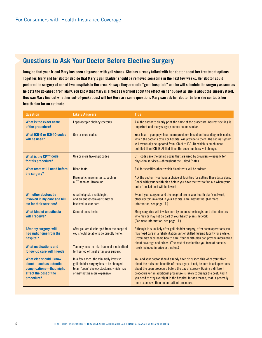### **Questions to Ask Your Doctor Before Elective Surgery**

**Imagine that your friend Mary has been diagnosed with gall stones. She has already talked with her doctor about her treatment options. Together, Mary and her doctor decide that Mary's gall bladder should be removed sometime in the next few weeks. Her doctor could perform the surgery at one of two hospitals in the area. He says they are both "good hospitals" and he will schedule the surgery as soon as he gets the go-ahead from Mary. You know that Mary is almost as worried about the effect on her budget as she is about the surgery itself. How can Mary find out what her out-of-pocket cost will be? Here are some questions Mary can ask her doctor before she contacts her health plan for an estimate.**

| <b>Question</b>                                                                                                               | <b>Likely Answers</b>                                                                                                                                                           | <b>Tips</b>                                                                                                                                                                                                                                                                                                                                                            |  |
|-------------------------------------------------------------------------------------------------------------------------------|---------------------------------------------------------------------------------------------------------------------------------------------------------------------------------|------------------------------------------------------------------------------------------------------------------------------------------------------------------------------------------------------------------------------------------------------------------------------------------------------------------------------------------------------------------------|--|
| What is the exact name<br>of the procedure?                                                                                   | Laparoscopic cholecystectomy                                                                                                                                                    | Ask the doctor to clearly print the name of the procedure. Correct spelling is<br>important and many surgery names sound similar.                                                                                                                                                                                                                                      |  |
| What ICD-9 or ICD-10 codes<br>will be used?                                                                                   | One or more codes                                                                                                                                                               | Your health plan pays healthcare providers based on these diagnosis codes,<br>which the doctor's office or hospital will provide to them. The coding system<br>will eventually be updated from ICD-9 to ICD-10, which is much more<br>detailed than ICD-9. At that time, the code numbers will change.                                                                 |  |
| What is the CPT <sup>®</sup> code<br>for this procedure?                                                                      | One or more five-digit codes                                                                                                                                                    | CPT codes are the billing codes that are used by providers—usually for<br>physician services-throughout the United States.                                                                                                                                                                                                                                             |  |
| What tests will I need before                                                                                                 | <b>Blood tests</b>                                                                                                                                                              | Ask for specifics about which blood tests will be ordered.                                                                                                                                                                                                                                                                                                             |  |
| the surgery?                                                                                                                  | Diagnostic imaging tests, such as<br>a CT scan or ultrasound                                                                                                                    | Ask the doctor if you have a choice of facilities for getting these tests done.<br>Check with your health plan before you have the test to find out where your<br>out-of-pocket cost will be lowest.                                                                                                                                                                   |  |
| Will other doctors be<br>involved in my care and bill<br>me for their services?                                               | A pathologist, a radiologist,<br>and an anesthesiologist may be<br>involved in your care.                                                                                       | Even if your surgeon and the hospital are in your health plan's network,<br>other doctors involved in your hospital care may not be. (For more<br>information, see page 11.)                                                                                                                                                                                           |  |
| <b>What kind of anesthesia</b><br>will I receive?                                                                             | General anesthesia                                                                                                                                                              | Many surgeries will involve care by an anesthesiologist and other doctors<br>who may or may not be part of your health plan's network.<br>(For more information, see page 11.)                                                                                                                                                                                         |  |
| After my surgery, will<br>I go right home from the<br>hospital?<br><b>What medications and</b><br>follow-up care will I need? | After you are discharged from the hospital,<br>you should be able to go directly home.<br>You may need to take [name of medication]<br>for [period of time] after your surgery. | Although it is unlikely after gall bladder surgery, after some operations you<br>may need care in a rehabilitation unit or skilled nursing facility for a while.<br>Or you may need home health care. Your health plan can provide information<br>about coverage and prices. (The cost of medication you take at home is<br>rarely included in price estimates.)       |  |
| What else should I know                                                                                                       | In a few cases, the minimally invasive                                                                                                                                          | You and your doctor should already have discussed this when you talked                                                                                                                                                                                                                                                                                                 |  |
| about-such as potential<br>complications-that might<br>affect the cost of the<br>procedure?                                   | gall bladder surgery has to be changed<br>to an "open" cholecystectomy, which may<br>or may not be more expensive.                                                              | about the risks and benefits of the surgery. If not, be sure to ask questions<br>about the open procedure before the day of surgery. Having a different<br>procedure (or an additional procedure) is likely to change the cost. And if<br>you need to stay overnight in the hospital for any reason, that is generally<br>more expensive than an outpatient procedure. |  |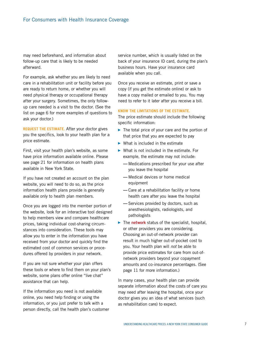may need beforehand, and information about follow-up care that is likely to be needed afterward.

For example, ask whether you are likely to need care in a rehabilitation unit or facility before you are ready to return home, or whether you will need physical therapy or occupational therapy after your surgery. Sometimes, the only followup care needed is a visit to the doctor. (See the list on page 6 for more examples of questions to ask your doctor.)

**REQUEST THE ESTIMATE.** After your doctor gives you the specifics, look to your health plan for a price estimate.

First, visit your health plan's website, as some have price information available online. Please see page 21 for information on health plans available in New York State.

If you have not created an account on the plan website, you will need to do so, as the price information health plans provide is generally available only to health plan members.

Once you are logged into the member portion of the website, look for an interactive tool designed to help members view and compare healthcare prices, taking individual cost-sharing circumstances into consideration. These tools may allow you to enter in the information you have received from your doctor and quickly find the estimated cost of common services or procedures offered by providers in your network.

If you are not sure whether your plan offers these tools or where to find them on your plan's website, some plans offer online "live chat" assistance that can help.

If the information you need is not available online, you need help finding or using the information, or you just prefer to talk with a person directly, call the health plan's customer service number, which is usually listed on the back of your insurance ID card, during the plan's business hours. Have your insurance card available when you call.

Once you receive an estimate, print or save a copy (if you get the estimate online) or ask to have a copy mailed or emailed to you. You may need to refer to it later after you receive a bill.

#### **KNOW THE LIMITATIONS OF THE ESTIMATE.**

The price estimate should include the following specific information:

- $\blacktriangleright$  The total price of your care and the portion of that price that you are expected to pay
- $\triangleright$  What is included in the estimate
- $\triangleright$  What is not included in the estimate. For example, the estimate may not include:
	- **—** Medications prescribed for your use after you leave the hospital
	- **—** Medical devices or home medical equipment
	- **—** Care at a rehabilitation facility or home health care after you leave the hospital
	- **—** Services provided by doctors, such as anesthesiologists, radiologists, and pathologists
- ▶ The **network** status of the specialist, hospital, or other providers you are considering. Choosing an out-of-network provider can result in much higher out-of-pocket cost to you. Your health plan will *not* be able to provide price estimates for care from out-ofnetwork providers beyond your copayment amounts and co-insurance percentages. (See page 11 for more information.)

In many cases, your health plan can provide separate information about the costs of care you may need after leaving the hospital, once your doctor gives you an idea of what services (such as rehabilitation care) to expect.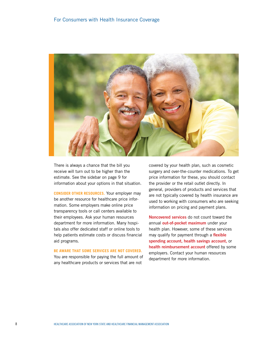#### For Consumers with Health Insurance Coverage



There is always a chance that the bill you receive will turn out to be higher than the estimate. See the sidebar on page 9 for information about your options in that situation.

**CONSIDER OTHER RESOURCES.** Your employer may be another resource for healthcare price information. Some employers make online price transparency tools or call centers available to their employees. Ask your human resources department for more information. Many hospitals also offer dedicated staff or online tools to help patients estimate costs or discuss financial aid programs.

#### **BE AWARE THAT SOME SERVICES ARE NOT COVERED.**

You are responsible for paying the full amount of any healthcare products or services that are not

covered by your health plan, such as cosmetic surgery and over-the-counter medications. To get price information for these, you should contact the provider or the retail outlet directly. In general, providers of products and services that are not typically covered by health insurance are used to working with consumers who are seeking information on pricing and payment plans.

**Noncovered services** do not count toward the annual **out-of-pocket maximum** under your health plan. However, some of these services may qualify for payment through a **flexible spending account, health savings account,** or **health reimbursement account** offered by some employers. Contact your human resources department for more information.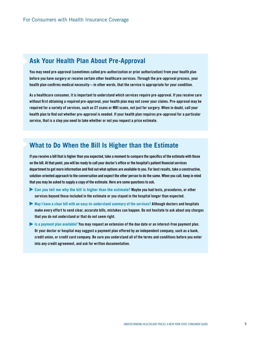### **Ask Your Health Plan About Pre-Approval**

**You may need pre-approval (sometimes called pre-authorization or prior authorization) from your health plan before you have surgery or receive certain other healthcare services. Through the pre-approval process, your health plan confirms medical necessity—in other words, that the service is appropriate for your condition.** 

**As a healthcare consumer, it is important to understand which services require pre-approval. If you receive care without first obtaining a required pre-approval, your health plan may not cover your claims. Pre-approval may be required for a variety of services, such as CT scans or MRI scans, not just for surgery. When in doubt, call your health plan to find out whether pre-approval is needed. If your health plan requires pre-approval for a particular service, that is a step you need to take whether or not you request a price estimate.**

### **What to Do When the Bill Is Higher than the Estimate**

**If you receive a bill that is higher than you expected, take a moment to compare the specifics of the estimate with those on the bill. At that point, you will be ready to call your doctor's office or the hospital's patient financial services department to get more information and find out what options are available to you. For best results, take a constructive, solution-oriented approach to the conversation and expect the other person to do the same. When you call, keep in mind that you may be asked to supply a copy of the estimate. Here are some questions to ask.**

- ▶ **Can you tell me why the bill is higher than the estimate? Maybe you had tests, procedures, or other services beyond those included in the estimate or you stayed in the hospital longer than expected.**
- ▶ **May I have a clear bill with an easy-to-understand summary of the services? Although doctors and hospitals make every effort to send clear, accurate bills, mistakes can happen. Do not hesitate to ask about any charges that you do not understand or that do not seem right.**
- ▶ **Is a payment plan available? You may request an extension of the due date or an interest-free payment plan. Or your doctor or hospital may suggest a payment plan offered by an independent company, such as a bank, credit union, or credit card company. Be sure you understand all of the terms and conditions before you enter into any credit agreement, and ask for written documentation.**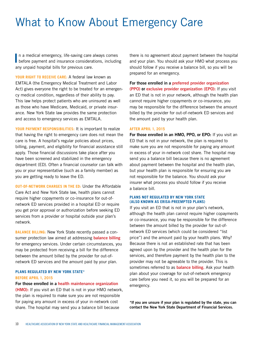# What to Know About Emergency Care

In a medical emergency, life-saving care always comes<br>before payment and insurance considerations, including n a medical emergency, life-saving care always comes any unpaid hospital bills for previous care.

**Your Right to Receive Care:** A federal law known as EMTALA (the Emergency Medical Treatment and Labor Act) gives everyone the right to be treated for an emergency medical condition, regardless of their ability to pay. This law helps protect patients who are uninsured as well as those who have Medicare, Medicaid, or private insurance. New York State law provides the same protection and access to emergency services as EMTALA.

YOUR PAYMENT RESPONSIBILITIES: It is important to realize that having the right to emergency care does not mean the care is free. A hospital's regular policies about prices, billing, payment, and eligibility for financial assistance still apply. Those financial discussions take place after you have been screened and stabilized in the emergency department (ED). Often a financial counselor can talk with you or your representative (such as a family member) as you are getting ready to leave the ED.

**Out-of-Network Charges in the ED:** Under the Affordable Care Act and New York State law, health plans cannot require higher copayments or co-insurance for out-ofnetwork ED services provided in a hospital ED or require you get prior approval or authorization before seeking ED services from a provider or hospital outside your plan's network.

**Balance Billing:** New York State recently passed a consumer protection law aimed at addressing **balance billing** for emergency services. Under certain circumstances, you may be protected from receiving a bill for the difference between the amount billed by the provider for out-ofnetwork ED services and the amount paid by your plan.

#### **Plans regulated by New York State\* Before April 1, 2015**

#### **For those enrolled in a health maintenance organization**

**(HMO):** If you visit an ED that is not in your HMO network, the plan is required to make sure you are not responsible for paying any amount in excess of your in-network cost share. The hospital may send you a balance bill because

there is no agreement about payment between the hospital and your plan. You should ask your HMO what process you should follow if you receive a balance bill, so you will be prepared for an emergency.

**For those enrolled in a preferred provider organization (PPO) or exclusive provider organization (EPO):** If you visit an ED that is not in your network, although the health plan cannot require higher copayments or co-insurance, you may be responsible for the difference between the amount billed by the provider for out-of-network ED services and the amount paid by your health plan.

#### **After April 1, 2015**

**For those enrolled in an HMO, PPO, or EPO:** If you visit an ED that is not in your network, the plan is required to make sure you are not responsible for paying any amount in excess of your in-network cost share. The hospital may send you a balance bill because there is no agreement about payment between the hospital and the health plan, but your health plan is responsible for ensuring you are not responsible for the balance. You should ask your insurer what process you should follow if you receive a balance bill.

#### **Plans not regulated by New York State (also known as ERISA-preempted plans)**

If you visit an ED that is not in your plan's network, although the health plan cannot require higher copayments or co-insurance, you may be responsible for the difference between the amount billed by the provider for out-ofnetwork ED services (which could be considered "list price") and the amount paid by your health plans. Why? Because there is not an established rate that has been agreed upon by the provider and the health plan for the services, and therefore payment by the health plan to the provider may not be agreeable to the provider. This is sometimes referred to as **balance billing.** Ask your health plan about your coverage for out-of-network emergency care before you need it, so you will be prepared for an emergency.

**\*If you are unsure if your plan is regulated by the state, you can contact the New York State Department of Financial Services.**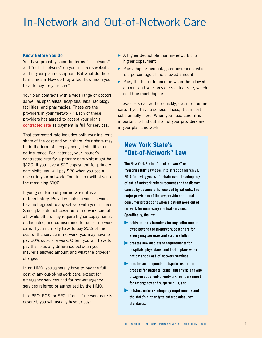## In-Network and Out-of-Network Care

#### **Know Before You Go**

You have probably seen the terms "in-network" and "out-of-network" on your insurer's website and in your plan description. But what do these terms mean? How do they affect how much you have to pay for your care?

Your plan contracts with a wide range of doctors, as well as specialists, hospitals, labs, radiology facilities, and pharmacies. These are the providers in your "network." Each of these providers has agreed to accept your plan's **contracted rate** as payment in full for services.

That contracted rate includes both your insurer's share of the cost and your share. Your share may be in the form of a copayment, deductible, or co-insurance. For instance, your insurer's contracted rate for a primary care visit might be \$120. If you have a \$20 copayment for primary care visits, you will pay \$20 when you see a doctor in your network. Your insurer will pick up the remaining \$100.

If you go outside of your network, it is a different story. Providers outside your network have not agreed to any set rate with your insurer. Some plans do not cover out-of-network care at all, while others may require higher copayments, deductibles, and co-insurance for out-of-network care. If you normally have to pay 20% of the cost of the service in-network, you may have to pay 30% out-of-network. Often, you will have to pay that plus any difference between your insurer's allowed amount and what the provider charges.

In an HMO, you generally have to pay the full cost of any out-of-network care, except for emergency services and for non-emergency services referred or authorized by the HMO.

In a PPO, POS, or EPO, if out-of-network care is covered, you will usually have to pay:

- $\triangleright$  A higher deductible than in-network or a higher copayment
- $\triangleright$  Plus a higher percentage co-insurance, which is a percentage of the allowed amount
- ▶ Plus, the full difference between the allowed amount and your provider's actual rate, which could be much higher

These costs can add up quickly, even for routine care. If you have a serious illness, it can cost substantially more. When you need care, it is important to find out if all of your providers are in your plan's network.

### **New York State's "Out-of-Network" Law**

**The New York State "Out-of-Network" or "Surprise Bill" Law goes into effect on March 31, 2015 following years of debate over the adequacy of out-of-network reimbursement and the dismay caused by balance bills received by patients. The major provisions of the law provide additional consumer protections when a patient goes out of network for necessary medical services. Specifically, the law:**

- ▶ **holds patients harmless for any dollar amount owed beyond the in-network cost share for emergency services and surprise bills;**
- **Exercise Serve** disclosure requirements for **hospitals, physicians, and health plans when patients seek out-of-network services;**
- ▶ **creates an independent dispute resolution process for patients, plans, and physicians who disagree about out-of-network reimbursement for emergency and surprise bills; and**
- ▶ **bolsters network adequacy requirements and the state's authority to enforce adequacy standards.**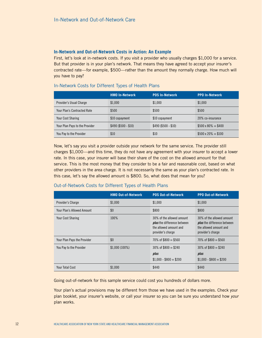#### **In-Network and Out-of-Network Costs in Action: An Example**

First, let's look at in-network costs. If you visit a provider who usually charges \$1,000 for a service. But that provider is in your plan's network. That means they have agreed to accept your insurer's contracted rate—for example, \$500—rather than the amount they normally charge. How much will you have to pay?

#### In-Network Costs for Different Types of Health Plans

|                                | <b>HMO In-Network</b> | <b>POS In-Network</b> | <b>PPO In-Network</b>     |
|--------------------------------|-----------------------|-----------------------|---------------------------|
| Provider's Usual Charge        | \$1.000               | \$1,000               | \$1.000                   |
| Your Plan's Contracted Rate    | \$500                 | \$500                 | \$500                     |
| <b>Your Cost Sharing</b>       | \$10 copayment        | \$10 copayment        | 20% co-insurance          |
| Your Plan Pays to the Provider | $$490 ($500 - $10)$   | $$490 ($500 - $10)$   | $$500 \times 80\% = $400$ |
| You Pay to the Provider        | \$10                  | \$10                  | $$500 \times 20\% = $100$ |

Now, let's say you visit a provider outside your network for the same service. The provider still charges \$1,000—and this time, they do not have any agreement with your insurer to accept a lower rate. In this case, your insurer will base their share of the cost on the allowed amount for that service. This is the most money that they consider to be a fair and reasonable cost, based on what other providers in the area charge. It is not necessarily the same as your plan's contracted rate. In this case, let's say the allowed amount is \$800. So, what does that mean for you?

#### Out-of-Network Costs for Different Types of Health Plans

|                                   | <b>HMO Out-of-Network</b> | <b>POS Out-of-Network</b>                                                                                      | <b>PPO Out-of-Network</b>                                                                                      |
|-----------------------------------|---------------------------|----------------------------------------------------------------------------------------------------------------|----------------------------------------------------------------------------------------------------------------|
| Provider's Charge                 | \$1.000                   | \$1.000                                                                                                        | \$1.000                                                                                                        |
| <b>Your Plan's Allowed Amount</b> | \$0                       | \$800                                                                                                          | \$800                                                                                                          |
| <b>Your Cost Sharing</b>          | 100%                      | 30% of the allowed amount<br><i>plus</i> the difference between<br>the allowed amount and<br>provider's charge | 30% of the allowed amount<br><i>plus</i> the difference between<br>the allowed amount and<br>provider's charge |
| Your Plan Pays the Provider       | \$0                       | 70% of $$800 = $560$                                                                                           | 70% of $$800 = $560$                                                                                           |
| You Pay to the Provider           | $$1,000(100\%)$           | $30\%$ of \$800 = \$240<br>plus<br>$$1.000 - $800 = $200$                                                      | $30\%$ of $$800 = $240$<br>plus<br>$$1.000 - $800 = $200$                                                      |
| Your Total Cost                   | \$1,000                   | \$440                                                                                                          | \$440                                                                                                          |

Going out-of-network for this sample service could cost you hundreds of dollars more.

Your plan's actual provisions may be different from those we have used in the examples. Check your plan booklet, your insurer's website, or call your insurer so you can be sure you understand how *your* plan works.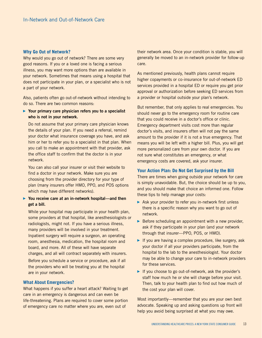#### **Why Go Out of Network?**

Why would you go out of network? There are some very good reasons. If you or a loved one is facing a serious illness, you may want more options than are available in your network. Sometimes that means using a hospital that does not participate in your plan, or a specialist who is not a part of your network.

Also, patients often go out-of-network without intending to do so. There are two common reasons:

▶ **Your primary care physician refers you to a specialist who is not in your network.** 

Do not assume that your primary care physician knows the details of your plan. If you need a referral, remind your doctor what insurance coverage you have, and ask him or her to refer you to a specialist in that plan. When you call to make an appointment with that provider, ask the office staff to confirm that the doctor is in your network.

You can also call your insurer or visit their website to find a doctor in your network. Make sure you are choosing from the provider directory for your type of plan (many insurers offer HMO, PPO, and POS options which may have different networks).

#### ▶ **You receive care at an in-network hospital—and then get a bill.**

While your hospital may participate in your health plan, some providers at that hospital, like anesthesiologists or radiologists, might not. If you have a serious illness, many providers will be involved in your treatment. Inpatient surgery will require a surgeon, an operating room, anesthesia, medication, the hospital room and board, and more. All of these will have separate charges, and all will contract separately with insurers. Before you schedule a service or procedure, ask if all the providers who will be treating you at the hospital are in your network.

#### **What About Emergencies?**

What happens if you suffer a heart attack? Waiting to get care in an emergency is dangerous and can even be life-threatening. Plans are required to cover some portion of emergency care no matter where you are, even out of

their network area. Once your condition is stable, you will generally be moved to an in-network provider for follow-up care.

As mentioned previously, health plans cannot require higher copayments or co-insurance for out-of-network ED services provided in a hospital ED or require you get prior approval or authorization before seeking ED services from a provider or hospital outside your plan's network.

But remember, that only applies to real emergencies. You should never go to the emergency room for routine care that you could receive in a doctor's office or clinic. Emergency department visits cost more than regular doctor's visits, and insurers often will not pay the same amount to the provider if it is not a true emergency. That means you will be left with a higher bill. Plus, you will get more personalized care from your own doctor. If you are not sure what constitutes an emergency, or what emergency costs are covered, ask your insurer.

#### **Your Action Plan: Do Not Get Surprised by the Bill**

There are times when going outside your network for care is simply unavoidable. But, the choice should be up to you, and you should make that choice an informed one. Follow these tips to help manage your costs:

- ▶ Ask your provider to refer you in-network first unless there is a specific reason why you want to go out of network.
- $\triangleright$  Before scheduling an appointment with a new provider, ask if they participate in your plan (and your network through that insurer—PPO, POS, or HMO).
- ▶ If you are having a complex procedure, like surgery, ask your doctor if all your providers participate, from the hospital to the lab to the anesthesiologist. Your doctor may be able to change your care to in-network providers for these services.
- ▶ If you choose to go out-of-network, ask the provider's staff how much he or she will charge before your visit. Then, talk to your health plan to find out how much of the cost your plan will cover.

Most importantly—remember that you are your own best advocate. Speaking up and asking questions up front will help you avoid being surprised at what you may owe.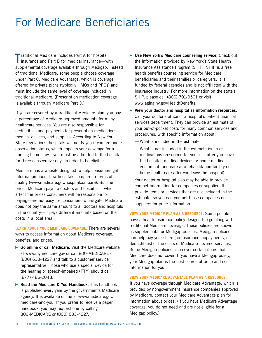# For Medicare Beneficiaries

**T** raditional Medicare includes Part A for hospital<br>
insurance and Part B for medical insurance—wi insurance and Part B for medical insurance—with supplemental coverage available through Medigap. Instead of traditional Medicare, some people choose coverage under Part C, Medicare Advantage, which is coverage offered by private plans (typically HMOs and PPOs) and must include the same level of coverage included in traditional Medicare. (Prescription medication coverage is available through Medicare Part D.)

If you are covered by a traditional Medicare plan, you pay a percentage of Medicare-approved amounts for many healthcare services. You are also responsible for deductibles and payments for prescription medications, medical devices, and supplies. According to New York State regulations, hospitals will notify you if you are under observation status, which impacts your coverage for a nursing home stay—you must be admitted to the hospital for three consecutive days in order to be eligible.

Medicare has a website designed to help consumers get information about how hospitals compare in terms of quality (www.medicare.gov/hospitalcompare). But the prices Medicare pays to doctors and hospitals—which affect the prices consumers will be responsible for paying—are not easy for consumers to navigate. Medicare does not pay the same amount to all doctors and hospitals in the country—it pays different amounts based on the costs in a local area.

**LEARN ABOUT YOUR MEDICARE COVERAGE.** There are several ways to access information about Medicare coverage, benefits, and prices.

- ▶ **Go online or call Medicare.** Visit the Medicare website at www.mymedicare.gov or call 800-MEDICARE or (800) 633-4227 and talk to a customer service representative. Those who use a special device for the hearing or speech-impaired (TTY) should call (877) 486-2048.
- ▶ **Read the Medicare & You Handbook.** This handbook is published every year by the government's Medicare agency. It is available online at www.medicare.gov/ medicare-and-you. If you prefer to receive a paper handbook, you may request one by calling 800-MEDICARE or (800) 633-4227.
- ▶ **Use New York's Medicare counseling service.** Check out the information provided by New York's State Health Insurance Assistance Program (SHIP). SHIP is a free health benefits counseling service for Medicare beneficiaries and their families or caregivers. It is funded by federal agencies and is not affiliated with the insurance industry. For more information on the state's SHIP, please call (800) 701-0501 or visit www.aging.ny.gov/HealthBenefits.
- ▶ **View your doctor and hospital as information resources.** Call your doctor's office or a hospital's patient financial services department. They can provide an estimate of your out-of-pocket costs for many common services and procedures, with specific information about:
	- **—** What is included in the estimate
	- **—** What is not included in the estimate (such as medications prescribed for your use after you leave the hospital, medical devices or home medical equipment, and care at a rehabilitation facility or home health care after you leave the hospital)

Your doctor or hospital also may be able to provide contact information for companies or suppliers that provide items or services that are not included in the estimate, so you can contact those companies or suppliers for price information.

**VIEW YOUR MEDIGAP PLAN AS A RESOURCE.** Some people have a health insurance policy designed to go along with traditional Medicare coverage. These policies are known as supplemental or Medigap policies. Medigap policies can help pay your share (co-insurance, copayments, or deductibles) of the costs of Medicare-covered services. Some Medigap policies also cover certain items that Medicare does not cover. If you have a Medigap policy, your Medigap plan is the best source of price and cost information for you.

#### **VIEW YOUR MEDICARE ADVANTAGE PLAN AS A RESOURCE.**

If you have coverage through Medicare Advantage, which is provided by nongovernment insurance companies approved by Medicare, contact your Medicare Advantage plan for information about prices. (If you have Medicare Advantage coverage, you do not need and are not eligible for a Medigap policy.)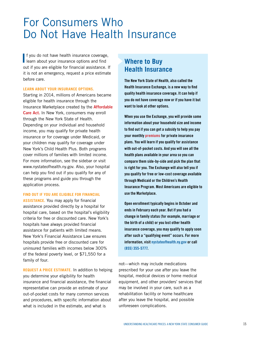### For Consumers Who Do Not Have Health Insurance

**I** f you do not have health insurance coverage learn about your insurance options and find f you do not have health insurance coverage, out if you are eligible for financial assistance. If it is not an emergency, request a price estimate before care.

#### **LEARN ABOUT YOUR INSURANCE OPTIONS.**

Starting in 2014, millions of Americans became eligible for health insurance through the Insurance Marketplace created by the **Affordable Care Act.** In New York, consumers may enroll through the New York State of Health. Depending on your individual and household income, you may qualify for private health insurance or for coverage under Medicaid, or your children may qualify for coverage under New York's Child Health Plus. Both programs cover millions of families with limited income. For more information, see the sidebar or visit www.nystateofhealth.ny.gov. Also, your hospital can help you find out if you qualify for any of these programs and guide you through the application process.

#### **FIND OUT IF YOU ARE ELIGIBLE FOR FINANCIAL**

**ASSISTANCE.** You may apply for financial assistance provided directly by a hospital for hospital care, based on the hospital's eligibility criteria for free or discounted care. New York's hospitals have always provided financial assistance for patients with limited means. New York's Financial Assistance Law ensures hospitals provide free or discounted care for uninsured families with incomes below 300% of the federal poverty level, or \$71,550 for a family of four.

**REQUEST A PRICE ESTIMATE.** In addition to helping you determine your eligibility for health insurance and financial assistance, the financial representative can provide an estimate of your out-of-pocket costs for many common services and procedures, with specific information about what is included in the estimate, and what is

### **Where to Buy Health Insurance**

**The New York State of Health, also called the Health Insurance Exchange, is a new way to find quality health insurance coverage. It can help if you do not have coverage now or if you have it but want to look at other options.**

**When you use the Exchange, you will provide some information about your household size and income to find out if you can get a subsidy to help you pay your monthly premiums for private insurance plans. You will learn if you qualify for assistance with out-of-pocket costs. And you will see all the health plans available in your area so you can compare them side-by-side and pick the plan that is right for you. The Exchange will also tell you if you qualify for free or low-cost coverage available through Medicaid or the Children's Health Insurance Program. Most Americans are eligible to use the Marketplace.**

**Open enrollment typically begins in October and ends in February each year. But if you had a change in family status (for example, marriage or the birth of a child) or you lost other health insurance coverage, you may qualify to apply soon after such a "qualifying event" occurs. For more information, visit nystateofhealth.ny.gov or call (855) 355-5777.**

not—which may include medications prescribed for your use after you leave the hospital, medical devices or home medical equipment, and other providers' services that may be involved in your care, such as a rehabilitation facility or home healthcare after you leave the hospital, and possible unforeseen complications.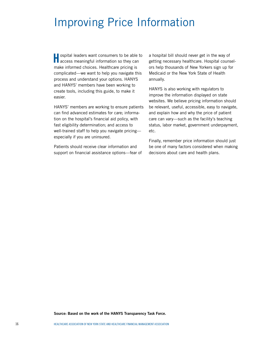# Improving Price Information

**H**ospital leaders want consumers to be able to access meaningful information so they can make informed choices. Healthcare pricing is complicated—we want to help you navigate this process and understand your options. HANYS and HANYS' members have been working to create tools, including this guide, to make it easier.

HANYS' members are working to ensure patients can find advanced estimates for care; information on the hospital's financial aid policy, with fast eligibility determination; and access to well-trained staff to help you navigate pricing especially if you are uninsured.

Patients should receive clear information and support on financial assistance options—fear of

a hospital bill should never get in the way of getting necessary healthcare. Hospital counselors help thousands of New Yorkers sign up for Medicaid or the New York State of Health annually.

HANYS is also working with regulators to improve the information displayed on state websites. We believe pricing information should be relevant, useful, accessible, easy to navigate, and explain how and why the price of patient care can vary—such as the facility's teaching status, labor market, government underpayment, etc.

Finally, remember price information should just be one of many factors considered when making decisions about care and health plans.

**Source: Based on the work of the HANYS Transparency Task Force.**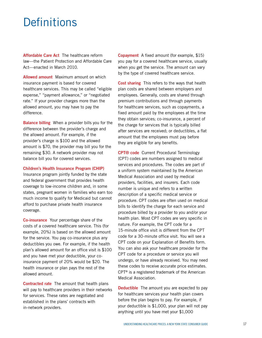### **Definitions**

**Affordable Care Act** The healthcare reform law—the Patient Protection and Affordable Care Act—enacted in March 2010.

**Allowed amount** Maximum amount on which insurance payment is based for covered healthcare services. This may be called "eligible expense," "payment allowance," or "negotiated rate." If your provider charges more than the allowed amount, you may have to pay the difference.

**Balance billing** When a provider bills you for the difference between the provider's charge and the allowed amount. For example, if the provider's charge is \$100 and the allowed amount is \$70, the provider may bill you for the remaining \$30. A network provider may not balance bill you for covered services.

#### **Children's Health Insurance Program (CHIP)**

Insurance program jointly funded by the state and federal government that provides health coverage to low-income children and, in some states, pregnant women in families who earn too much income to qualify for Medicaid but cannot afford to purchase private health insurance coverage.

**Co-insurance** Your percentage share of the costs of a covered healthcare service. This (for example, 20%) is based on the allowed amount for the service. You pay co-insurance plus any deductibles you owe. For example, if the health plan's allowed amount for an office visit is \$100 and you have met your deductible, your coinsurance payment of 20% would be \$20. The health insurance or plan pays the rest of the allowed amount.

**Contracted rate** The amount that health plans will pay to healthcare providers in their networks for services. These rates are negotiated and established in the plans' contracts with in-network providers.

**Copayment** A fixed amount (for example, \$15) you pay for a covered healthcare service, usually when you get the service. The amount can vary by the type of covered healthcare service.

**Cost sharing** This refers to the ways that health plan costs are shared between employers and employees. Generally, costs are shared through premium contributions and through payments for healthcare services, such as copayments, a fixed amount paid by the employees at the time they obtain services; co-insurance, a percent of the charge for services that is typically billed after services are received; or deductibles, a flat amount that the employees must pay before they are eligible for any benefits.

**CPT® code** Current Procedural Terminology (CPT) codes are numbers assigned to medical services and procedures. The codes are part of a uniform system maintained by the American Medical Association and used by medical providers, facilities, and insurers. Each code number is unique and refers to a written description of a specific medical service or procedure. CPT codes are often used on medical bills to identify the charge for each service and procedure billed by a provider to you and/or your health plan. Most CPT codes are very specific in nature. For example, the CPT code for a 15-minute office visit is different from the CPT code for a 30-minute office visit. You will see a CPT code on your Explanation of Benefits form. You can also ask your healthcare provider for the CPT code for a procedure or service you will undergo, or have already received. You may need these codes to receive accurate price estimates. CPT® is a registered trademark of the American Medical Association.

**Deductible** The amount you are expected to pay for healthcare services your health plan covers before the plan begins to pay. For example, if your deductible is \$1,000, your plan will not pay anything until you have met your \$1,000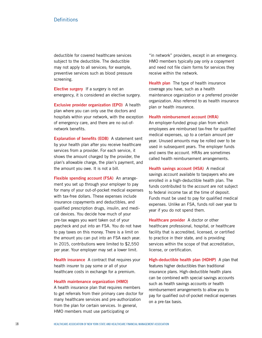#### **Definitions**

deductible for covered healthcare services subject to the deductible. The deductible may not apply to all services; for example, preventive services such as blood pressure screening.

**Elective surgery** If a surgery is not an emergency, it is considered an elective surgery.

**Exclusive provider organization (EPO)** A health plan where you can only use the doctors and hospitals within your network, with the exception of emergency care, and there are no out-ofnetwork benefits.

**Explanation of benefits (EOB)** A statement sent by your health plan after you receive healthcare services from a provider. For each service, it shows the amount charged by the provider, the plan's allowable charge, the plan's payment, and the amount you owe. It is not a bill.

**Flexible spending account (FSA)** An arrangement you set up through your employer to pay for many of your out-of-pocket medical expenses with tax-free dollars. These expenses include insurance copayments and deductibles, and qualified prescription drugs, insulin, and medical devices. You decide how much of your pre-tax wages you want taken out of your paycheck and put into an FSA. You do not have to pay taxes on this money. There is a limit on the amount you can put into an FSA each year. In 2015, contributions were limited to \$2,550 per year. Your employer may set a lower limit.

**Health insurance** A contract that requires your health insurer to pay some or all of your healthcare costs in exchange for a premium.

#### **Health maintenance organization (HMO)**

A health insurance plan that requires members to get referrals from their primary care doctor for many healthcare services and pre-authorization from the plan for certain services. In general, HMO members must use participating or

"in network" providers, except in an emergency. HMO members typically pay only a copayment and need not file claim forms for services they receive within the network.

**Health plan** The type of health insurance coverage you have, such as a health maintenance organization or a preferred provider organization. Also referred to as health insurance plan or health insurance.

#### **Health reimbursement account (HRA)**

An employer-funded group plan from which employees are reimbursed tax-free for qualified medical expenses, up to a certain amount per year. Unused amounts may be rolled over to be used in subsequent years. The employer funds and owns the account. HRAs are sometimes called health reimbursement arrangements.

**Health savings account (HSA)** A medical savings account available to taxpayers who are enrolled in a high-deductible health plan. The funds contributed to the account are not subject to federal income tax at the time of deposit. Funds must be used to pay for qualified medical expenses. Unlike an FSA, funds roll over year to year if you do not spend them.

**Healthcare provider** A doctor or other healthcare professional, hospital, or healthcare facility that is accredited, licensed, or certified to practice in their state, and is providing services within the scope of that accreditation, license, or certification.

**High-deductible health plan (HDHP)** A plan that features higher deductibles than traditional insurance plans. High-deductible health plans can be combined with special savings accounts such as health savings accounts or health reimbursement arrangements to allow you to pay for qualified out-of-pocket medical expenses on a pre-tax basis.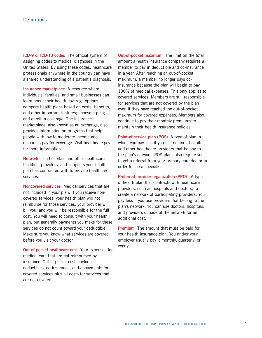#### **Definitions**

**ICD-9 or ICD-10 codes** The official system of assigning codes to medical diagnoses in the United States. By using these codes, healthcare professionals anywhere in the country can have a shared understanding of a patient's diagnosis.

**Insurance marketplace** A resource where individuals, families, and small businesses can: learn about their health coverage options; compare health plans based on costs, benefits, and other important features; choose a plan; and enroll in coverage. The insurance marketplace, also known as an exchange, also provides information on programs that help people with low to moderate income and resources pay for coverage. Visit healthcare.gov for more information.

**Network** The hospitals and other healthcare facilities, providers, and suppliers your health plan has contracted with to provide healthcare services.

**Noncovered services** Medical services that are not included in your plan. If you receive noncovered services, your health plan will not reimburse for those services, your provider will bill you, and you will be responsible for the full cost. You will need to consult with your health plan, but generally payments you make for these services do not count toward your deductible. Make sure you know what services are covered before you visit your doctor.

**Out-of-pocket healthcare cost** Your expenses for medical care that are not reimbursed by insurance. Out-of-pocket costs include deductibles, co-insurance, and copayments for covered services plus all costs for services that are not covered.

**Out-of-pocket maximum** The limit on the total amount a health insurance company requires a member to pay in deductible and co-insurance in a year. After reaching an out-of-pocket maximum, a member no longer pays coinsurance because the plan will begin to pay 100% of medical expenses. This only applies to covered services. Members are still responsible for services that are not covered by the plan even if they have reached the out-of-pocket maximum for covered expenses. Members also continue to pay their monthly premiums to maintain their health insurance policies.

**Point-of-service plan (POS)** A type of plan in which you pay less if you use doctors, hospitals, and other healthcare providers that belong to the plan's network. POS plans also require you to get a referral from your primary care doctor in order to see a specialist.

**Preferred provider organization (PPO)** A type of health plan that contracts with healthcare providers, such as hospitals and doctors, to create a network of participating providers. You pay less if you use providers that belong to the plan's network. You can use doctors, hospitals, and providers outside of the network for an additional cost.

**Premium** The amount that must be paid for your health insurance plan. You and/or your employer usually pay it monthly, quarterly, or yearly.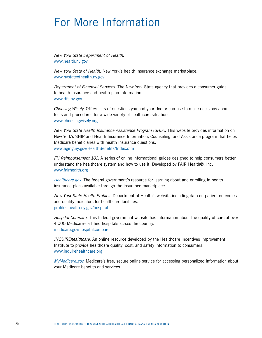### For More Information

*New York State Department of Health*. www.health.ny.gov

*New York State of Health*. New York's health insurance exchange marketplace. www.nystateofhealth.ny.gov

*Department of Financial Services*. The New York State agency that provides a consumer guide to health insurance and health plan information. www.dfs.ny.gov

*Choosing Wisely*. Offers lists of questions you and your doctor can use to make decisions about tests and procedures for a wide variety of healthcare situations. www.choosingwisely.org

*New York State Health Insurance Assistance Program (SHIP)*. This website provides information on New York's SHIP and Health Insurance Information, Counseling, and Assistance program that helps Medicare beneficiaries with health insurance questions. www.aging.ny.gov/HealthBenefits/Index.cfm

*FH Reimbursement 101*. A series of online informational guides designed to help consumers better understand the healthcare system and how to use it. Developed by FAIR Health®, Inc. www.fairhealth.org

*Healthcare.gov*. The federal government's resource for learning about and enrolling in health insurance plans available through the insurance marketplace.

New York State Health Profiles. Department of Health's website including data on patient outcomes and quality indicators for healthcare facilities. profiles.health.ny.gov/hospital

*Hospital Compare*. This federal government website has information about the quality of care at over 4,000 Medicare-certified hospitals across the country. medicare.gov/hospitalcompare

*INQUIREhealthcare*. An online resource developed by the Healthcare Incentives Improvement Institute to provide healthcare quality, cost, and safety information to consumers. www.inquirehealthcare.org

*MyMedicare.gov.* Medicare's free, secure online service for accessing personalized information about your Medicare benefits and services.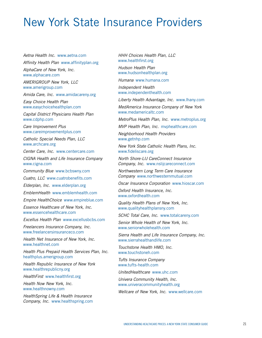# New York State Insurance Providers

*Aetna Health Inc.* www.aetna.com Affinity Health Plan www.affinityplan.org

*AlphaCare of New York, Inc.*

www.alphacare.com

*AMERIGROUP New York, LLC* www.amerigroup.com

*Amida Care, Inc.* www.amidacareny.org

*Easy Choice Health Plan* www.easychoicehealthplan.com

*Capital District Physicians Health Plan* www.cdphp.com

*Care Improvement Plus*  www.careimprovementplus.com

*Catholic Special Needs Plan, LLC* www.archcare.org

*Center Care, Inc.* www.centercare.com *CIGNA Health and Life Insurance Company* www.cigna.com

*Community Blue* www.bcbswny.com

*Cuatro, LLC* www.cuatrobenefits.com

*Elderplan, Inc.* www.elderplan.org

*EmblemHealth* www.emblemhealth.com

*Empire HealthChoice* www.empireblue.com

*Essence Healthcare of New York, Inc.* www.essencehealthcare.com

*Excellus Health Plan* www.excellusbcbs.com

*Freelancers Insurance Company, Inc.* www.freelancersinsuranceco.com

*Health Net Insurance of New York, Inc.* www.healthnet.com

*Health Plus Prepaid Health Services Plan, Inc.* healthplus.amerigroup.com

*Health Republic Insurance of New York* www.healthrepublicny.org

*HealthFirst* www.healthfirst.org

*Health Now New York, Inc.* www.healthnowny.com

*HealthSpring Life & Health Insurance Company, Inc.* www.healthspring.com

*HHH Choices Health Plan, LLC* www.healthfirst.org

*Hudson Health Plan* www.hudsonhealthplan.org

*Humana* www.humana.com

*Independent Health* www.independenthealth.com

*Liberty Health Advantage, Inc.* www.lhany.com

*MedAmerica Insurance Company of New York* www.medamericaltc.com

*MetroPlus Health Plan, Inc.* www.metroplus.org

*MVP Health Plan, Inc.* mvphealthcare.com

*Neighborhood Health Providers* www.getnhp.com

*New York State Catholic Health Plans, Inc.* www.fideliscare.org

*North Shore-LIJ CareConnect Insurance Company, Inc.* www.nslijcareconnect.com

*Northwestern Long Term Care Insurance Company* www.northwesternmutual.com

*Oscar Insurance Corporation* www.hioscar.com

*Oxford Health Insurance, Inc.* www.oxfordhealth.com

*Quality Health Plans of New York, Inc.* www.qualityhealthplansny.com

*SCHC Total Care, Inc.* www.totalcareny.com

*Senior Whole Health of New York, Inc.* www.seniorwholehealth.com

*Sierra Health and Life Insurance Company, Inc.* www.sierrahealthandlife.com

*Touchstone Health HMO, Inc.* www.touchstoneh.com

*Tufts Insurance Company* www.tufts-health.com

*UnitedHealthcare* www.uhc.com

*Univera Community Health, Inc.* www.univeracommunityhealth.org

*Wellcare of New York, Inc.* www.wellcare.com